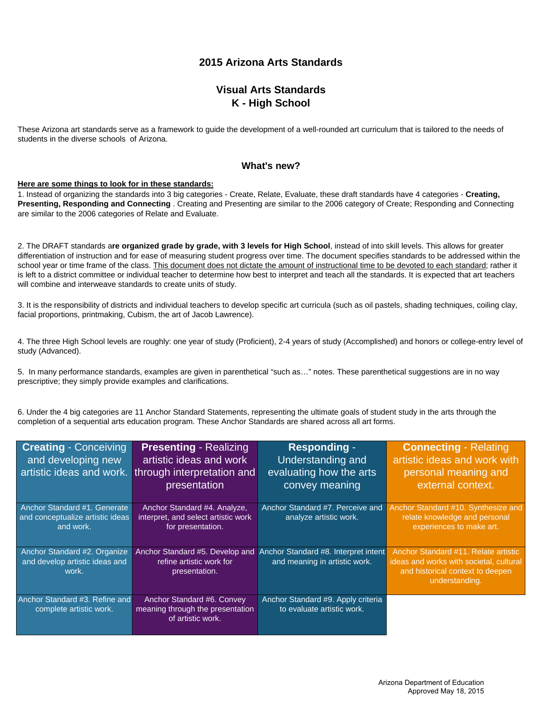# **2015 Arizona Arts Standards**

# **Visual Arts Standards K - High School**

These Arizona art standards serve as a framework to guide the development of a well-rounded art curriculum that is tailored to the needs of students in the diverse schools of Arizona.

### **What's new?**

#### **Here are some things to look for in these standards:**

1. Instead of organizing the standards into 3 big categories - Create, Relate, Evaluate, these draft standards have 4 categories - **Creating, Presenting, Responding and Connecting** . Creating and Presenting are similar to the 2006 category of Create; Responding and Connecting are similar to the 2006 categories of Relate and Evaluate.

2. The DRAFT standards a**re organized grade by grade, with 3 levels for High School**, instead of into skill levels. This allows for greater differentiation of instruction and for ease of measuring student progress over time. The document specifies standards to be addressed within the school year or time frame of the class. This document does not dictate the amount of instructional time to be devoted to each standard; rather it is left to a district committee or individual teacher to determine how best to interpret and teach all the standards. It is expected that art teachers will combine and interweave standards to create units of study.

3. It is the responsibility of districts and individual teachers to develop specific art curricula (such as oil pastels, shading techniques, coiling clay, facial proportions, printmaking, Cubism, the art of Jacob Lawrence).

4. The three High School levels are roughly: one year of study (Proficient), 2-4 years of study (Accomplished) and honors or college-entry level of study (Advanced).

5. In many performance standards, examples are given in parenthetical "such as…" notes. These parenthetical suggestions are in no way prescriptive; they simply provide examples and clarifications.

6. Under the 4 big categories are 11 Anchor Standard Statements, representing the ultimate goals of student study in the arts through the completion of a sequential arts education program. These Anchor Standards are shared across all art forms.

| <b>Creating - Conceiving</b><br>and developing new                            | <b>Presenting - Realizing</b><br>artistic ideas and work<br>artistic ideas and work. through interpretation and<br>presentation | <b>Responding -</b><br>Understanding and<br>evaluating how the arts<br>convey meaning | <b>Connecting - Relating</b><br>artistic ideas and work with<br>personal meaning and<br>external context.                             |
|-------------------------------------------------------------------------------|---------------------------------------------------------------------------------------------------------------------------------|---------------------------------------------------------------------------------------|---------------------------------------------------------------------------------------------------------------------------------------|
| Anchor Standard #1, Generate<br>and conceptualize artistic ideas<br>and work. | Anchor Standard #4. Analyze,<br>interpret, and select artistic work<br>for presentation.                                        | Anchor Standard #7. Perceive and<br>analyze artistic work.                            | Anchor Standard #10. Synthesize and<br>relate knowledge and personal<br>experiences to make art.                                      |
| Anchor Standard #2. Organize<br>and develop artistic ideas and<br>work.       | Anchor Standard #5. Develop and<br>refine artistic work for<br>presentation.                                                    | Anchor Standard #8. Interpret intent<br>and meaning in artistic work.                 | Anchor Standard #11, Relate artistic<br>ideas and works with societal, cultural<br>and historical context to deepen<br>understanding. |
| Anchor Standard #3. Refine and<br>complete artistic work.                     | Anchor Standard #6. Convey<br>meaning through the presentation<br>of artistic work.                                             | Anchor Standard #9. Apply criteria<br>to evaluate artistic work.                      |                                                                                                                                       |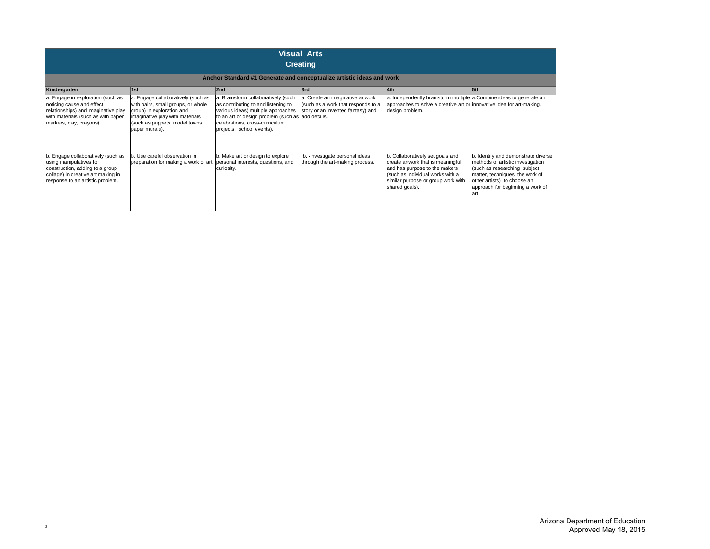| <b>Visual Arts</b><br><b>Creating</b>                                                                                                                                      |                                                                                                                                                                                              |                                                                                                                                                                                                                                      |                                                                                                             |                                                                                                                                                                                                    |                                                                                                                                                                                                                        |
|----------------------------------------------------------------------------------------------------------------------------------------------------------------------------|----------------------------------------------------------------------------------------------------------------------------------------------------------------------------------------------|--------------------------------------------------------------------------------------------------------------------------------------------------------------------------------------------------------------------------------------|-------------------------------------------------------------------------------------------------------------|----------------------------------------------------------------------------------------------------------------------------------------------------------------------------------------------------|------------------------------------------------------------------------------------------------------------------------------------------------------------------------------------------------------------------------|
|                                                                                                                                                                            |                                                                                                                                                                                              | Anchor Standard #1 Generate and conceptualize artistic ideas and work                                                                                                                                                                |                                                                                                             |                                                                                                                                                                                                    |                                                                                                                                                                                                                        |
| Kindergarten                                                                                                                                                               | 1st                                                                                                                                                                                          | 2nd                                                                                                                                                                                                                                  | 3rd                                                                                                         | 4th                                                                                                                                                                                                | 5th                                                                                                                                                                                                                    |
| a. Engage in exploration (such as<br>noticing cause and effect<br>relationships) and imaginative play<br>with materials (such as with paper,<br>markers, clay, crayons).   | a. Engage collaboratively (such as<br>with pairs, small groups, or whole<br>group) in exploration and<br>imaginative play with materials<br>(such as puppets, model towns,<br>paper murals). | a. Brainstorm collaboratively (such<br>as contributing to and listening to<br>various ideas) multiple approaches<br>to an art or design problem (such as add details.<br>celebrations, cross-curriculum<br>projects, school events). | a. Create an imaginative artwork<br>(such as a work that responds to a<br>story or an invented fantasy) and | a. Independently brainstorm multiple a.Combine ideas to generate an<br>approaches to solve a creative art or innovative idea for art-making.<br>design problem.                                    |                                                                                                                                                                                                                        |
| b. Engage collaboratively (such as<br>using manipulatives for<br>construction, adding to a group<br>collage) in creative art making in<br>response to an artistic problem. | b. Use careful observation in<br>preparation for making a work of art. personal interests, questions, and                                                                                    | b. Make art or design to explore<br>curiosity.                                                                                                                                                                                       | b. - Investigate personal ideas<br>through the art-making process.                                          | b. Collaboratively set goals and<br>create artwork that is meaningful<br>and has purpose to the makers<br>(such as individual works with a<br>similar purpose or group work with<br>shared goals). | b. Identify and demonstrate diverse<br>methods of artistic investigation<br>(such as researching subject<br>matter, techniques, the work of<br>other artists) to choose an<br>approach for beginning a work of<br>art. |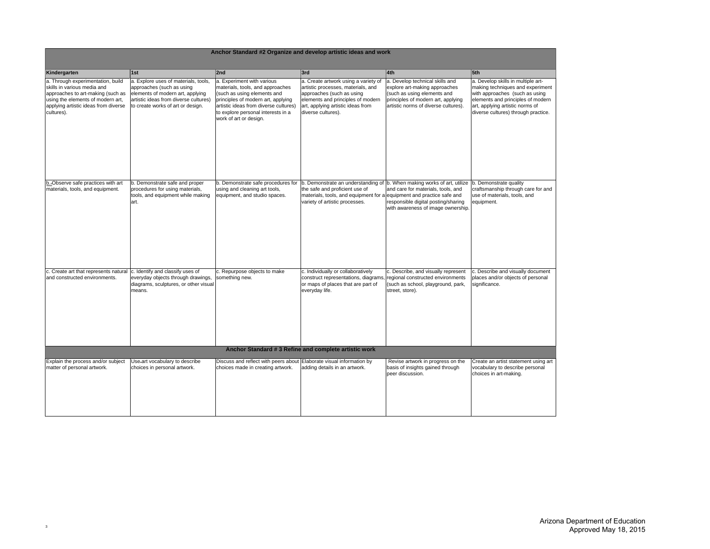| Anchor Standard #2 Organize and develop artistic ideas and work                                                                                                                                  |                                                                                                                                                                                     |                                                                                                                                                                                                                                              |                                                                                                                                                                                                         |                                                                                                                                                                                            |                                                                                                                                                                                                                         |
|--------------------------------------------------------------------------------------------------------------------------------------------------------------------------------------------------|-------------------------------------------------------------------------------------------------------------------------------------------------------------------------------------|----------------------------------------------------------------------------------------------------------------------------------------------------------------------------------------------------------------------------------------------|---------------------------------------------------------------------------------------------------------------------------------------------------------------------------------------------------------|--------------------------------------------------------------------------------------------------------------------------------------------------------------------------------------------|-------------------------------------------------------------------------------------------------------------------------------------------------------------------------------------------------------------------------|
| Kindergarten                                                                                                                                                                                     | 1st                                                                                                                                                                                 | 2nd                                                                                                                                                                                                                                          | 3rd                                                                                                                                                                                                     | 4th                                                                                                                                                                                        | 5th                                                                                                                                                                                                                     |
| a. Through experimentation, build<br>skills in various media and<br>approaches to art-making (such as<br>using the elements of modern art,<br>applying artistic ideas from diverse<br>cultures). | a. Explore uses of materials, tools,<br>approaches (such as using<br>elements of modern art, applying<br>artistic ideas from diverse cultures)<br>to create works of art or design. | a. Experiment with various<br>materials, tools, and approaches<br>(such as using elements and<br>principles of modern art, applying<br>artistic ideas from diverse cultures)<br>to explore personal interests in a<br>work of art or design. | a. Create artwork using a variety of<br>artistic processes, materials, and<br>approaches (such as using<br>elements and principles of modern<br>art, applying artistic ideas from<br>diverse cultures). | a. Develop technical skills and<br>explore art-making approaches<br>(such as using elements and<br>principles of modern art, applying<br>artistic norms of diverse cultures).              | a. Develop skills in multiple art-<br>making techniques and experiment<br>with approaches (such as using<br>elements and principles of modern<br>art, applying artistic norms of<br>diverse cultures) through practice. |
| b. Observe safe practices with art<br>materials, tools, and equipment.                                                                                                                           | b. Demonstrate safe and proper<br>procedures for using materials,<br>tools, and equipment while making<br>art.                                                                      | b. Demonstrate safe procedures for<br>using and cleaning art tools,<br>equipment, and studio spaces.                                                                                                                                         | the safe and proficient use of<br>materials, tools, and equipment for a equipment and practice safe and<br>variety of artistic processes.                                                               | b. Demonstrate an understanding of b. When making works of art, utilize<br>and care for materials, tools, and<br>responsible digital posting/sharing<br>with awareness of image ownership. | b. Demonstrate quality<br>craftsmanship through care for and<br>use of materials, tools, and<br>equipment.                                                                                                              |
| c. Create art that represents natural<br>and constructed environments.                                                                                                                           | c. Identify and classify uses of<br>everyday objects through drawings,<br>diagrams, sculptures, or other visual<br>means.                                                           | c. Repurpose objects to make<br>something new.                                                                                                                                                                                               | c. Individually or collaboratively<br>construct representations, diagrams, regional constructed environments<br>or maps of places that are part of<br>everyday life.                                    | c. Describe, and visually represent<br>(such as school, playground, park,<br>street, store).                                                                                               | c. Describe and visually document<br>places and/or objects of personal<br>significance.                                                                                                                                 |
|                                                                                                                                                                                                  |                                                                                                                                                                                     |                                                                                                                                                                                                                                              | Anchor Standard #3 Refine and complete artistic work                                                                                                                                                    |                                                                                                                                                                                            |                                                                                                                                                                                                                         |
| Explain the process and/or subject<br>matter of personal artwork.                                                                                                                                | Use-art vocabulary to describe<br>choices in personal artwork.                                                                                                                      | Discuss and reflect with peers about Elaborate visual information by<br>choices made in creating artwork.                                                                                                                                    | adding details in an artwork.                                                                                                                                                                           | Revise artwork in progress on the<br>basis of insights gained through<br>peer discussion.                                                                                                  | Create an artist statement using art<br>vocabulary to describe personal<br>choices in art-making.                                                                                                                       |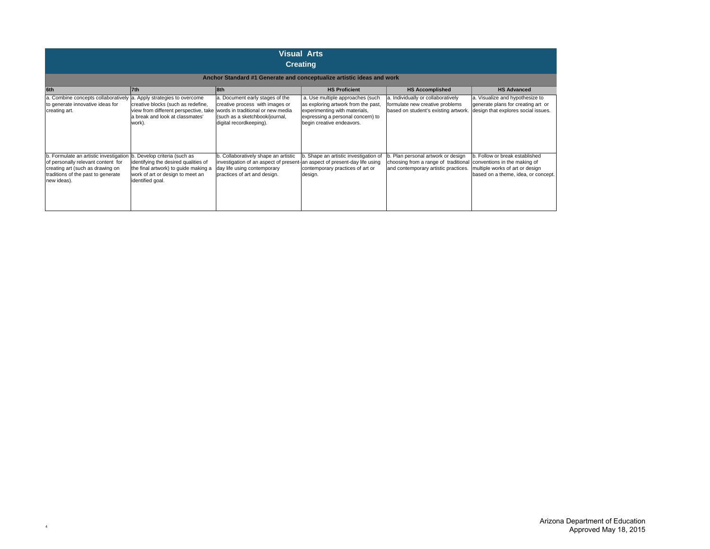| <b>Visual Arts</b><br><b>Creating</b>                                                                                                                                 |                                                                                                                                                                      |                                                                                                                                                                      |                                                                                                                                                                            |                                                                                                                   |                                                                                                                                          |
|-----------------------------------------------------------------------------------------------------------------------------------------------------------------------|----------------------------------------------------------------------------------------------------------------------------------------------------------------------|----------------------------------------------------------------------------------------------------------------------------------------------------------------------|----------------------------------------------------------------------------------------------------------------------------------------------------------------------------|-------------------------------------------------------------------------------------------------------------------|------------------------------------------------------------------------------------------------------------------------------------------|
|                                                                                                                                                                       |                                                                                                                                                                      |                                                                                                                                                                      | Anchor Standard #1 Generate and conceptualize artistic ideas and work                                                                                                      |                                                                                                                   |                                                                                                                                          |
| 6th                                                                                                                                                                   | 7th                                                                                                                                                                  | 8th                                                                                                                                                                  | <b>HS Proficient</b>                                                                                                                                                       | <b>HS Accomplished</b>                                                                                            | <b>HS Advanced</b>                                                                                                                       |
| a. Combine concepts collaboratively a. Apply strategies to overcome<br>to generate innovative ideas for<br>creating art.                                              | creative blocks (such as redefine,<br>view from different perspective, take<br>a break and look at classmates'<br>work).                                             | a. Document early stages of the<br>creative process with images or<br>words in traditional or new media<br>(such as a sketchbook/journal,<br>digital recordkeeping). | a. Use multiple approaches (such<br>as exploring artwork from the past,<br>experimenting with materials,<br>expressing a personal concern) to<br>begin creative endeavors. | a. Individually or collaboratively<br>formulate new creative problems<br>based on student's existing artwork.     | a. Visualize and hypothesize to<br>generate plans for creating art or<br>design that explores social issues.                             |
| b. Formulate an artistic investigation<br>of personally relevant content for<br>creating art (such as drawing on<br>traditions of the past to generate<br>new ideas). | b. Develop criteria (such as<br>identifying the desired qualities of<br>the final artwork) to quide making a<br>work of art or design to meet an<br>identified goal. | b. Collaboratively shape an artistic<br>investigation of an aspect of present-<br>day life using contemporary<br>practices of art and design.                        | b. Shape an artistic investigation of<br>an aspect of present-day life using<br>contemporary practices of art or<br>design.                                                | . Plan personal artwork or design<br>choosing from a range of traditional<br>and contemporary artistic practices. | b. Follow or break established<br>conventions in the making of<br>multiple works of art or design<br>based on a theme, idea, or concept. |

4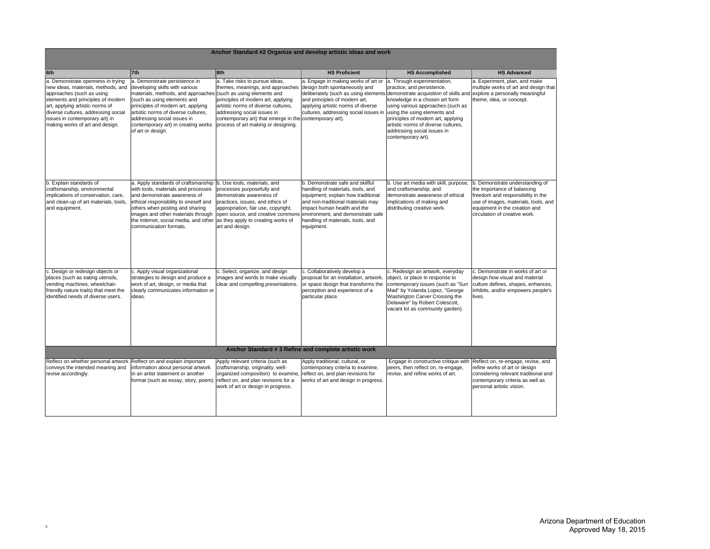|                                                                                                                                                                                                                                                                                          | Anchor Standard #2 Organize and develop artistic ideas and work                                                                                                                                                                                                                                                                                                                                     |                                                                                                                                                                                                                                                                                  |                                                                                                                                                                                                                                                                         |                                                                                                                                                                                                                                                                                                                                                  |                                                                                                                                                                                                               |
|------------------------------------------------------------------------------------------------------------------------------------------------------------------------------------------------------------------------------------------------------------------------------------------|-----------------------------------------------------------------------------------------------------------------------------------------------------------------------------------------------------------------------------------------------------------------------------------------------------------------------------------------------------------------------------------------------------|----------------------------------------------------------------------------------------------------------------------------------------------------------------------------------------------------------------------------------------------------------------------------------|-------------------------------------------------------------------------------------------------------------------------------------------------------------------------------------------------------------------------------------------------------------------------|--------------------------------------------------------------------------------------------------------------------------------------------------------------------------------------------------------------------------------------------------------------------------------------------------------------------------------------------------|---------------------------------------------------------------------------------------------------------------------------------------------------------------------------------------------------------------|
| 6th                                                                                                                                                                                                                                                                                      | 7th                                                                                                                                                                                                                                                                                                                                                                                                 | 8th                                                                                                                                                                                                                                                                              | <b>HS Proficient</b>                                                                                                                                                                                                                                                    | <b>HS Accomplished</b>                                                                                                                                                                                                                                                                                                                           | <b>HS Advanced</b>                                                                                                                                                                                            |
| a. Demonstrate openness in trying<br>new ideas, materials, methods, and<br>approaches (such as using<br>elements and principles of modern<br>art, applying artistic norms of<br>diverse cultures, addressing social<br>issues in contemporary art) in<br>making works of art and design. | a. Demonstrate persistence in<br>developing skills with various<br>materials, methods, and approaches (such as using elements and<br>(such as using elements and<br>principles of modern art, applying<br>artistic norms of diverse cultures,<br>addressing social issues in<br>contemporary art) in creating works<br>of art or design.                                                            | a. Take risks to pursue ideas,<br>themes, meanings, and approaches<br>principles of modern art, applying<br>artistic norms of diverse cultures,<br>addressing social issues in<br>contemporary art) that emerge in the contemporary art).<br>process of art making or designing. | a. Engage in making works of art or<br>design both spontaneously and<br>and principles of modern art,<br>applying artistic norms of diverse<br>cultures, addressing social issues in using the using elements and                                                       | a. Through experimentation,<br>practice, and persistence,<br>deliberately (such as using elements demonstrate acquisition of skills and<br>knowledge in a chosen art form<br>using various approaches (such as<br>principles of modern art, applying<br>artistic norms of diverse cultures,<br>addressing social issues in<br>contemporary art). | a. Experiment, plan, and make<br>multiple works of art and design that<br>explore a personally meaningful<br>theme, idea, or concept.                                                                         |
| b. Explain standards of<br>craftsmanship, environmental<br>implications of conservation, care,<br>and clean-up of art materials, tools,<br>and equipment.                                                                                                                                | a. Apply standards of craftsmanship  b. Use tools, materials, and<br>with tools, materials and processes<br>and demonstrate awareness of<br>ethical responsibility to oneself and<br>others when posting and sharing<br>images and other materials through lopen source, and creative commons<br>the Internet, social media, and other as they apply to creating works of<br>communication formats. | processes purposefully and<br>demonstrate awareness of<br>practices, issues, and ethics of<br>appropriation, fair use, copyright,<br>art and design.                                                                                                                             | b. Demonstrate safe and skillful<br>handling of materials, tools, and<br>equipment; explain how traditional<br>and non-traditional materials may<br>impact human health and the<br>environment, and demonstrate safe<br>handling of materials, tools, and<br>equipment. | b. Use art media with skill, purpose,<br>and craftsmanship; and<br>demonstrate awareness of ethical<br>implications of making and<br>distributing creative work.                                                                                                                                                                                 | b. Demonstrate understanding of<br>the importance of balancing<br>freedom and responsibility in the<br>use of images, materials, tools, and<br>equipment in the creation and<br>circulation of creative work. |
| c. Design or redesign objects or<br>places (such as eating utensils,<br>vending machines, wheelchair-<br>friendly nature trails) that meet the<br>identified needs of diverse users.                                                                                                     | c. Apply visual organizational<br>strategies to design and produce a<br>work of art, design, or media that<br>clearly communicates information or<br>ideas.                                                                                                                                                                                                                                         | c. Select, organize, and design<br>images and words to make visually<br>clear and compelling presentations.                                                                                                                                                                      | c. Collaboratively develop a<br>proposal for an installation, artwork,<br>or space design that transforms the<br>perception and experience of a<br>particular place.                                                                                                    | c. Redesign an artwork, everyday<br>object, or place in response to<br>contemporary issues (such as "Sun<br>Mad" by Yolanda Lopez, "George<br>Washington Carver Crossing the<br>Delaware" by Robert Colescott,<br>vacant lot as community garden).                                                                                               | c. Demonstrate in works of art or<br>design how visual and material<br>culture defines, shapes, enhances,<br>inhibits, and/or empowers people's<br>lives.                                                     |
|                                                                                                                                                                                                                                                                                          |                                                                                                                                                                                                                                                                                                                                                                                                     |                                                                                                                                                                                                                                                                                  | Anchor Standard # 3 Refine and complete artistic work                                                                                                                                                                                                                   |                                                                                                                                                                                                                                                                                                                                                  |                                                                                                                                                                                                               |
| Reflect on whether personal artwork<br>conveys the intended meaning and<br>revise accordingly.                                                                                                                                                                                           | Reflect on and explain important<br>information about personal artwork<br>in an artist statement or another<br>format (such as essay, story, poem).                                                                                                                                                                                                                                                 | Apply relevant criteria (such as<br>craftsmanship, originality, well-<br>organized composition) to examine,<br>reflect on, and plan revisions for a<br>work of art or design in progress.                                                                                        | Apply traditional, cultural, or<br>contemporary criteria to examine,<br>reflect on, and plan revisions for<br>works of art and design in progress.                                                                                                                      | Engage in constructive critique with<br>peers, then reflect on, re-engage,<br>revise, and refine works of art.                                                                                                                                                                                                                                   | Reflect on, re-engage, revise, and<br>refine works of art or design<br>considering relevant traditional and<br>contemporary criteria as well as<br>personal artistic vision.                                  |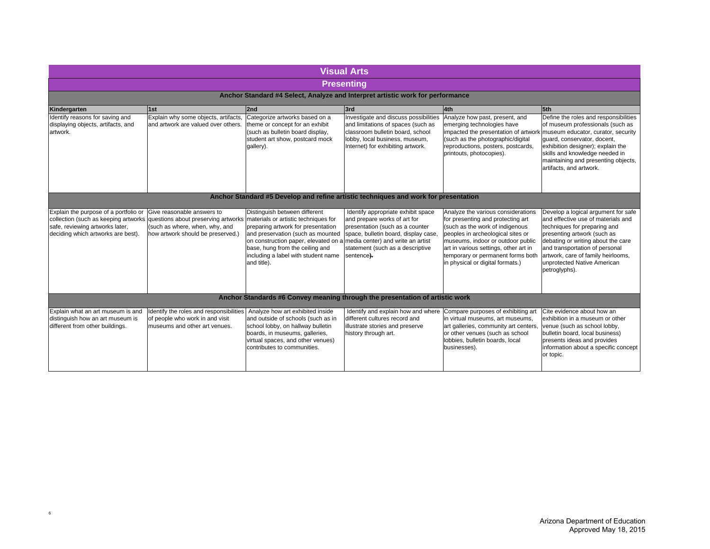|                                                                                                                                                        |                                                                                                                                                                               |                                                                                                                                                                                                                                           | <b>Visual Arts</b>                                                                                                                                                                                                                   |                                                                                                                                                                                                                                                                                                        |                                                                                                                                                                                                                                                                                                        |
|--------------------------------------------------------------------------------------------------------------------------------------------------------|-------------------------------------------------------------------------------------------------------------------------------------------------------------------------------|-------------------------------------------------------------------------------------------------------------------------------------------------------------------------------------------------------------------------------------------|--------------------------------------------------------------------------------------------------------------------------------------------------------------------------------------------------------------------------------------|--------------------------------------------------------------------------------------------------------------------------------------------------------------------------------------------------------------------------------------------------------------------------------------------------------|--------------------------------------------------------------------------------------------------------------------------------------------------------------------------------------------------------------------------------------------------------------------------------------------------------|
|                                                                                                                                                        |                                                                                                                                                                               |                                                                                                                                                                                                                                           | <b>Presenting</b>                                                                                                                                                                                                                    |                                                                                                                                                                                                                                                                                                        |                                                                                                                                                                                                                                                                                                        |
|                                                                                                                                                        |                                                                                                                                                                               |                                                                                                                                                                                                                                           | Anchor Standard #4 Select, Analyze and Interpret artistic work for performance                                                                                                                                                       |                                                                                                                                                                                                                                                                                                        |                                                                                                                                                                                                                                                                                                        |
| Kindergarten                                                                                                                                           | 1st                                                                                                                                                                           | 2nd                                                                                                                                                                                                                                       | 3rd                                                                                                                                                                                                                                  | 4th                                                                                                                                                                                                                                                                                                    | 5th                                                                                                                                                                                                                                                                                                    |
| Identify reasons for saving and<br>displaying objects, artifacts, and<br>artwork.                                                                      | Explain why some objects, artifacts,<br>and artwork are valued over others.                                                                                                   | Categorize artworks based on a<br>theme or concept for an exhibit<br>(such as bulletin board display,<br>student art show, postcard mock<br>gallery).                                                                                     | Investigate and discuss possibilities<br>and limitations of spaces (such as<br>classroom bulletin board, school<br>lobby, local business, museum,<br>Internet) for exhibiting artwork.                                               | Analyze how past, present, and<br>emerging technologies have<br>impacted the presentation of artwork museum educator, curator, security<br>(such as the photographic/digital<br>reproductions, posters, postcards,<br>printouts, photocopies).                                                         | Define the roles and responsibilities<br>of museum professionals (such as<br>quard, conservator, docent,<br>exhibition designer); explain the<br>skills and knowledge needed in<br>maintaining and presenting objects,<br>artifacts, and artwork.                                                      |
|                                                                                                                                                        |                                                                                                                                                                               |                                                                                                                                                                                                                                           | Anchor Standard #5 Develop and refine artistic techniques and work for presentation                                                                                                                                                  |                                                                                                                                                                                                                                                                                                        |                                                                                                                                                                                                                                                                                                        |
| Explain the purpose of a portfolio or<br>collection (such as keeping artworks<br>safe, reviewing artworks later,<br>deciding which artworks are best). | Give reasonable answers to<br>questions about preserving artworks materials or artistic techniques for<br>(such as where, when, why, and<br>how artwork should be preserved.) | Distinguish between different<br>preparing artwork for presentation<br>and preservation (such as mounted<br>on construction paper, elevated on a<br>base, hung from the ceiling and<br>including a label with student name<br>and title). | Identify appropriate exhibit space<br>and prepare works of art for<br>presentation (such as a counter<br>space, bulletin board, display case,<br>media center) and write an artist<br>statement (such as a descriptive<br>sentence). | Analyze the various considerations<br>for presenting and protecting art<br>(such as the work of indigenous<br>peoples in archeological sites or<br>museums, indoor or outdoor public<br>art in various settings, other art in<br>temporary or permanent forms both<br>in physical or digital formats.) | Develop a logical argument for safe<br>and effective use of materials and<br>techniques for preparing and<br>presenting artwork (such as<br>debating or writing about the care<br>and transportation of personal<br>artwork, care of family heirlooms,<br>unprotected Native American<br>petroglyphs). |
|                                                                                                                                                        |                                                                                                                                                                               |                                                                                                                                                                                                                                           | Anchor Standards #6 Convey meaning through the presentation of artistic work                                                                                                                                                         |                                                                                                                                                                                                                                                                                                        |                                                                                                                                                                                                                                                                                                        |
| Explain what an art museum is and<br>distinguish how an art museum is<br>different from other buildings.                                               | Identify the roles and responsibilities Analyze how art exhibited inside<br>of people who work in and visit<br>museums and other art venues.                                  | and outside of schools (such as in<br>school lobby, on hallway bulletin<br>boards, in museums, galleries,<br>virtual spaces, and other venues)<br>contributes to communities.                                                             | different cultures record and<br>illustrate stories and preserve<br>history through art.                                                                                                                                             | Identify and explain how and where Compare purposes of exhibiting art<br>in virtual museums, art museums,<br>art galleries, community art centers,<br>or other venues (such as school<br>lobbies, bulletin boards, local<br>businesses).                                                               | Cite evidence about how an<br>exhibition in a museum or other<br>venue (such as school lobby,<br>bulletin board, local business)<br>presents ideas and provides<br>information about a specific concept<br>or topic.                                                                                   |

6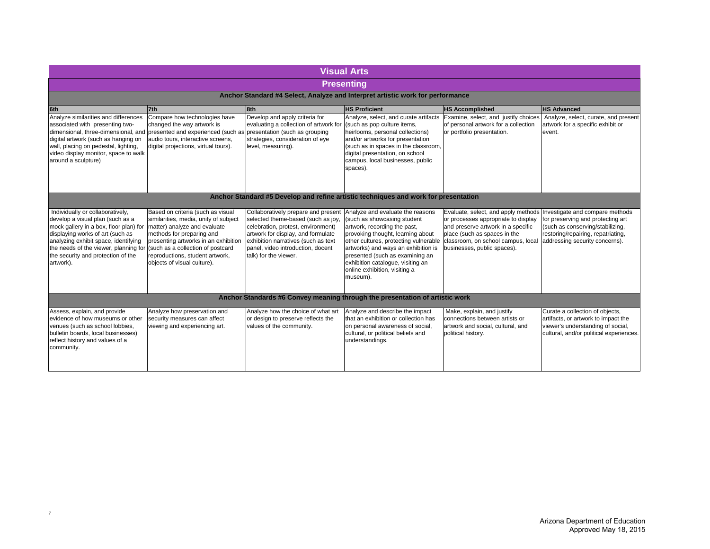|                                                                                                                                                                                                                                                                                                                                |                                                                                                                                                                                                                                                                                        |                                                                                                                                                                                                                                                            | <b>Visual Arts</b>                                                                                                                                                                                                                                                                                                                                                           |                                                                                                                                                                                 |                                                                                                                                                                                  |
|--------------------------------------------------------------------------------------------------------------------------------------------------------------------------------------------------------------------------------------------------------------------------------------------------------------------------------|----------------------------------------------------------------------------------------------------------------------------------------------------------------------------------------------------------------------------------------------------------------------------------------|------------------------------------------------------------------------------------------------------------------------------------------------------------------------------------------------------------------------------------------------------------|------------------------------------------------------------------------------------------------------------------------------------------------------------------------------------------------------------------------------------------------------------------------------------------------------------------------------------------------------------------------------|---------------------------------------------------------------------------------------------------------------------------------------------------------------------------------|----------------------------------------------------------------------------------------------------------------------------------------------------------------------------------|
|                                                                                                                                                                                                                                                                                                                                |                                                                                                                                                                                                                                                                                        |                                                                                                                                                                                                                                                            | <b>Presenting</b>                                                                                                                                                                                                                                                                                                                                                            |                                                                                                                                                                                 |                                                                                                                                                                                  |
|                                                                                                                                                                                                                                                                                                                                |                                                                                                                                                                                                                                                                                        |                                                                                                                                                                                                                                                            | Anchor Standard #4 Select, Analyze and Interpret artistic work for performance                                                                                                                                                                                                                                                                                               |                                                                                                                                                                                 |                                                                                                                                                                                  |
| 6th                                                                                                                                                                                                                                                                                                                            | 7th                                                                                                                                                                                                                                                                                    | 8th                                                                                                                                                                                                                                                        | <b>HS Proficient</b>                                                                                                                                                                                                                                                                                                                                                         | <b>HS Accomplished</b>                                                                                                                                                          | <b>HS Advanced</b>                                                                                                                                                               |
| Analyze similarities and differences<br>associated with presenting two-<br>dimensional, three-dimensional, and presented and experienced (such as presentation (such as grouping<br>digital artwork (such as hanging on<br>wall, placing on pedestal, lighting,<br>video display monitor, space to walk<br>around a sculpture) | Compare how technologies have<br>changed the way artwork is<br>audio tours, interactive screens,<br>digital projections, virtual tours).                                                                                                                                               | Develop and apply criteria for<br>evaluating a collection of artwork for<br>strategies, consideration of eye<br>level, measuring).                                                                                                                         | Analyze, select, and curate artifacts<br>(such as pop culture items,<br>heirlooms, personal collections)<br>and/or artworks for presentation<br>(such as in spaces in the classroom,<br>digital presentation, on school<br>campus, local businesses, public<br>spaces).                                                                                                      | Examine, select, and justify choices<br>of personal artwork for a collection<br>or portfolio presentation.                                                                      | Analyze, select, curate, and present<br>artwork for a specific exhibit or<br>event.                                                                                              |
|                                                                                                                                                                                                                                                                                                                                |                                                                                                                                                                                                                                                                                        |                                                                                                                                                                                                                                                            | Anchor Standard #5 Develop and refine artistic techniques and work for presentation                                                                                                                                                                                                                                                                                          |                                                                                                                                                                                 |                                                                                                                                                                                  |
| Individually or collaboratively,<br>develop a visual plan (such as a<br>mock gallery in a box, floor plan) for<br>displaying works of art (such as<br>analyzing exhibit space, identifying<br>the needs of the viewer, planning for<br>the security and protection of the<br>artwork).                                         | Based on criteria (such as visual<br>similarities, media, unity of subject<br>matter) analyze and evaluate<br>methods for preparing and<br>presenting artworks in an exhibition<br>(such as a collection of postcard<br>reproductions, student artwork,<br>objects of visual culture). | Collaboratively prepare and present<br>selected theme-based (such as joy,<br>celebration, protest, environment)<br>artwork for display, and formulate<br>exhibition narratives (such as text<br>panel, video introduction, docent<br>talk) for the viewer. | Analyze and evaluate the reasons<br>(such as showcasing student<br>artwork, recording the past,<br>provoking thought, learning about<br>other cultures, protecting vulnerable classroom, on school campus, local<br>artworks) and ways an exhibition is<br>presented (such as examining an<br>exhibition catalogue, visiting an<br>online exhibition, visiting a<br>museum). | Evaluate, select, and apply methods<br>or processes appropriate to display<br>and preserve artwork in a specific<br>place (such as spaces in the<br>businesses, public spaces). | Investigate and compare methods<br>for preserving and protecting art<br>(such as conserving/stabilizing,<br>restoring/repairing, repatriating,<br>addressing security concerns). |
| Anchor Standards #6 Convey meaning through the presentation of artistic work                                                                                                                                                                                                                                                   |                                                                                                                                                                                                                                                                                        |                                                                                                                                                                                                                                                            |                                                                                                                                                                                                                                                                                                                                                                              |                                                                                                                                                                                 |                                                                                                                                                                                  |
| Assess, explain, and provide<br>evidence of how museums or other<br>venues (such as school lobbies,<br>bulletin boards, local businesses)<br>reflect history and values of a<br>community.                                                                                                                                     | Analyze how preservation and<br>security measures can affect<br>viewing and experiencing art.                                                                                                                                                                                          | Analyze how the choice of what art<br>or design to preserve reflects the<br>values of the community.                                                                                                                                                       | Analyze and describe the impact<br>that an exhibition or collection has<br>on personal awareness of social,<br>cultural, or political beliefs and<br>understandings.                                                                                                                                                                                                         | Make, explain, and justify<br>connections between artists or<br>artwork and social, cultural, and<br>political history.                                                         | Curate a collection of objects,<br>artifacts, or artwork to impact the<br>viewer's understanding of social,<br>cultural, and/or political experiences.                           |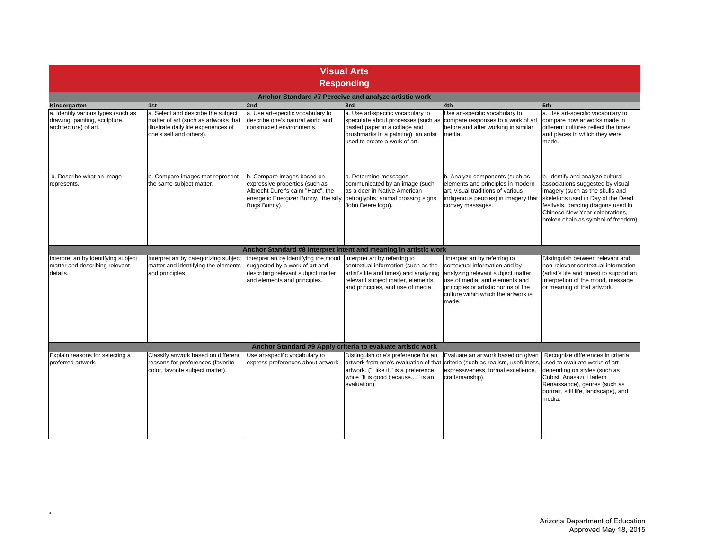| <b>Visual Arts</b><br><b>Responding</b>                                                      |                                                                                                                                               |                                                                                                                                                           |                                                                                                                                                                                          |                                                                                                                                                                                                                               |                                                                                                                                                                                                                                                             |
|----------------------------------------------------------------------------------------------|-----------------------------------------------------------------------------------------------------------------------------------------------|-----------------------------------------------------------------------------------------------------------------------------------------------------------|------------------------------------------------------------------------------------------------------------------------------------------------------------------------------------------|-------------------------------------------------------------------------------------------------------------------------------------------------------------------------------------------------------------------------------|-------------------------------------------------------------------------------------------------------------------------------------------------------------------------------------------------------------------------------------------------------------|
|                                                                                              |                                                                                                                                               |                                                                                                                                                           | Anchor Standard #7 Perceive and analyze artistic work                                                                                                                                    |                                                                                                                                                                                                                               |                                                                                                                                                                                                                                                             |
| Kindergarten                                                                                 | 1st                                                                                                                                           | 2nd                                                                                                                                                       | 3rd                                                                                                                                                                                      | 4th                                                                                                                                                                                                                           | 5th                                                                                                                                                                                                                                                         |
| a. Identify various types (such as<br>drawing, painting, sculpture,<br>architecture) of art. | a. Select and describe the subject<br>matter of art (such as artworks that<br>illustrate daily life experiences of<br>one's self and others). | a. Use art-specific vocabulary to<br>describe one's natural world and<br>constructed environments.                                                        | a. Use art-specific vocabulary to<br>pasted paper in a collage and<br>brushmarks in a painting) an artist<br>used to create a work of art.                                               | Use art-specific vocabulary to<br>speculate about processes (such as compare responses to a work of art<br>before and after working in similar<br>media.                                                                      | a. Use art-specific vocabulary to<br>compare how artworks made in<br>different cultures reflect the times<br>and places in which they were<br>made.                                                                                                         |
| b. Describe what an image<br>represents.                                                     | b. Compare images that represent<br>the same subject matter.                                                                                  | b. Compare images based on<br>expressive properties (such as<br>Albrecht Durer's calm "Hare", the<br>energetic Energizer Bunny, the silly<br>Bugs Bunny). | b. Determine messages<br>communicated by an image (such<br>as a deer in Native American<br>petroglyphs, animal crossing signs,<br>John Deere logo).                                      | b. Analyze components (such as<br>elements and principles in modern<br>art, visual traditions of various<br>indigenous peoples) in imagery that<br>convey messages.                                                           | b. Identify and analyze cultural<br>associations suggested by visual<br>imagery (such as the skulls and<br>skeletons used in Day of the Dead<br>festivals, dancing dragons used in<br>Chinese New Year celebrations,<br>broken chain as symbol of freedom). |
|                                                                                              |                                                                                                                                               | Anchor Standard #8 Interpret intent and meaning in artistic work                                                                                          |                                                                                                                                                                                          |                                                                                                                                                                                                                               |                                                                                                                                                                                                                                                             |
| Interpret art by identifying subject<br>matter and describing relevant<br>details.           | Interpret art by categorizing subject<br>matter and identifying the elements<br>and principles.                                               | Interpret art by identifying the mood<br>suggested by a work of art and<br>describing relevant subject matter<br>and elements and principles.             | Interpret art by referring to<br>contextual information (such as the<br>artist's life and times) and analyzing<br>relevant subject matter, elements<br>and principles, and use of media. | Interpret art by referring to<br>contextual information and by<br>analyzing relevant subject matter,<br>use of media, and elements and<br>principles or artistic norms of the<br>culture within which the artwork is<br>made. | Distinguish between relevant and<br>non-relevant contextual information<br>(artist's life and times) to support an<br>interpretion of the mood, message<br>or meaning of that artwork.                                                                      |
|                                                                                              |                                                                                                                                               |                                                                                                                                                           | Anchor Standard #9 Apply criteria to evaluate artistic work                                                                                                                              |                                                                                                                                                                                                                               |                                                                                                                                                                                                                                                             |
| Explain reasons for selecting a<br>preferred artwork.                                        | Classify artwork based on different<br>reasons for preferences (favorite<br>color, favorite subject matter).                                  | Use art-specific vocabulary to<br>express preferences about artwork.                                                                                      | Distinguish one's preference for an<br>artwork. ("I like it," is a preference<br>while "It is good because" is an<br>evaluation).                                                        | Evaluate an artwork based on given<br>artwork from one's evaluation of that criteria (such as realism, usefulness,<br>expressiveness, formal excellence,<br>craftsmanship).                                                   | Recognize differences in criteria<br>used to evaluate works of art<br>depending on styles (such as<br>Cubist, Anasazi, Harlem<br>Renaissance), genres (such as<br>portrait, still life, landscape), and<br>media.                                           |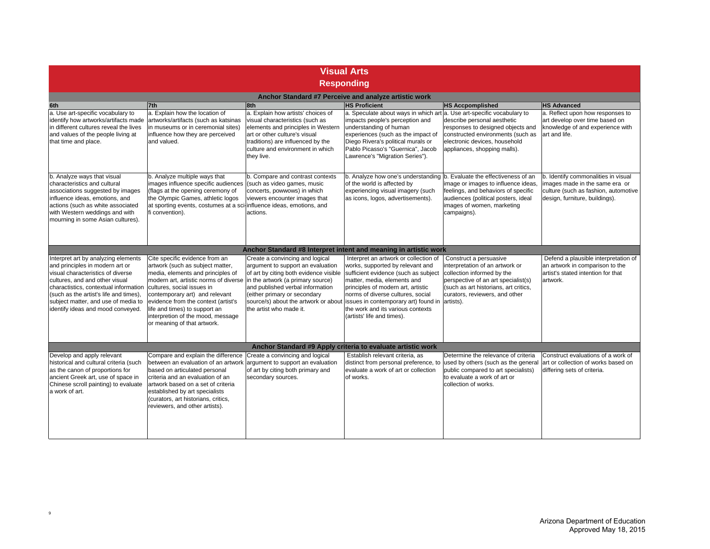|                                                                                                                                                                                                                                                                                                              |                                                                                                                                                                                                                                                                                                                                                                                                |                                                                                                                                                                                                                                                       | <b>Visual Arts</b>                                                                                                                                                                                                                                                                                                                               |                                                                                                                                                                                                           |                                                                                                                                                 |
|--------------------------------------------------------------------------------------------------------------------------------------------------------------------------------------------------------------------------------------------------------------------------------------------------------------|------------------------------------------------------------------------------------------------------------------------------------------------------------------------------------------------------------------------------------------------------------------------------------------------------------------------------------------------------------------------------------------------|-------------------------------------------------------------------------------------------------------------------------------------------------------------------------------------------------------------------------------------------------------|--------------------------------------------------------------------------------------------------------------------------------------------------------------------------------------------------------------------------------------------------------------------------------------------------------------------------------------------------|-----------------------------------------------------------------------------------------------------------------------------------------------------------------------------------------------------------|-------------------------------------------------------------------------------------------------------------------------------------------------|
|                                                                                                                                                                                                                                                                                                              |                                                                                                                                                                                                                                                                                                                                                                                                |                                                                                                                                                                                                                                                       | <b>Responding</b>                                                                                                                                                                                                                                                                                                                                |                                                                                                                                                                                                           |                                                                                                                                                 |
|                                                                                                                                                                                                                                                                                                              |                                                                                                                                                                                                                                                                                                                                                                                                |                                                                                                                                                                                                                                                       | Anchor Standard #7 Perceive and analyze artistic work                                                                                                                                                                                                                                                                                            |                                                                                                                                                                                                           |                                                                                                                                                 |
| 6th                                                                                                                                                                                                                                                                                                          | 7th                                                                                                                                                                                                                                                                                                                                                                                            | 8th                                                                                                                                                                                                                                                   | <b>HS Proficient</b>                                                                                                                                                                                                                                                                                                                             | <b>HS Accpomplished</b>                                                                                                                                                                                   | <b>HS Advanced</b>                                                                                                                              |
| a. Use art-specific vocabulary to<br>identify how artworks/artifacts made<br>lin different cultures reveal the lives<br>and values of the people living at<br>that time and place.                                                                                                                           | a. Explain how the location of<br>artworks/artifacts (such as katsinas<br>in museums or in ceremonial sites)<br>influence how they are perceived<br>and valued.                                                                                                                                                                                                                                | a. Explain how artists' choices of<br>visual characteristics (such as<br>elements and principles in Western<br>art or other culture's visual<br>traditions) are influenced by the<br>culture and environment in which<br>they live.                   | a. Speculate about ways in which art a. Use art-specific vocabulary to<br>impacts people's perception and<br>understanding of human<br>experiences (such as the impact of<br>Diego Rivera's political murals or<br>Pablo Picasso's "Guernica", Jacob<br>Lawrence's "Migration Series").                                                          | describe personal aesthetic<br>responses to designed objects and<br>constructed environments (such as<br>electronic devices, household<br>appliances, shopping malls).                                    | a. Reflect upon how responses to<br>art develop over time based on<br>knowledge of and experience with<br>art and life.                         |
| b. Analyze ways that visual<br>characteristics and cultural<br>associations suggested by images<br>influence ideas, emotions, and<br>actions (such as white associated<br>with Western weddings and with<br>mourning in some Asian cultures).                                                                | b. Analyze multiple ways that<br>images influence specific audiences<br>(flags at the opening ceremony of<br>the Olympic Games, athletic logos<br>at sporting events, costumes at a sci-influence ideas, emotions, and<br>fi convention).                                                                                                                                                      | b. Compare and contrast contexts<br>(such as video games, music<br>concerts, powwows) in which<br>viewers encounter images that<br>actions.                                                                                                           | b. Analyze how one's understanding b. Evaluate the effectiveness of an<br>of the world is affected by<br>experiencing visual imagery (such<br>as icons, logos, advertisements).                                                                                                                                                                  | image or images to influence ideas,<br>feelings, and behaviors of specific<br>audiences (political posters, ideal<br>images of women, marketing<br>campaigns).                                            | b. Identify commonalities in visual<br>images made in the same era or<br>culture (such as fashion, automotive<br>design, furniture, buildings). |
|                                                                                                                                                                                                                                                                                                              |                                                                                                                                                                                                                                                                                                                                                                                                |                                                                                                                                                                                                                                                       | Anchor Standard #8 Interpret intent and meaning in artistic work                                                                                                                                                                                                                                                                                 |                                                                                                                                                                                                           |                                                                                                                                                 |
| Interpret art by analyzing elements<br>and principles in modern art or<br>visual characteristics of diverse<br>cultures, and and other visual<br>charactistics, contextual information<br>(such as the artist's life and times),<br>subject matter, and use of media to<br>identify ideas and mood conveyed. | Cite specific evidence from an<br>artwork (such as subject matter,<br>media, elements and principles of<br>modern art, artistic norms of diverse in the artwork (a primary source)<br>cultures, social issues in<br>contemporary art) and relevant<br>evidence from the context (artist's<br>life and times) to support an<br>interpretion of the mood, message<br>or meaning of that artwork. | Create a convincing and logical<br>argument to support an evaluation<br>of art by citing both evidence visible<br>and published verbal information<br>(either primary or secondary<br>source/s) about the artwork or about<br>the artist who made it. | Interpret an artwork or collection of<br>works, supported by relevant and<br>sufficient evidence (such as subject<br>matter, media, elements and<br>principles of modern art, artistic<br>norms of diverse cultures, social<br>issues in contemporary art) found in artists).<br>the work and its various contexts<br>(artists' life and times). | Construct a persuasive<br>interpretation of an artwork or<br>collection informed by the<br>perspective of an art specialist(s)<br>(such as art historians, art critics,<br>curators, reviewers, and other | Defend a plausible interpretation of<br>an artwork in comparison to the<br>artist's stated intention for that<br>artwork.                       |
|                                                                                                                                                                                                                                                                                                              |                                                                                                                                                                                                                                                                                                                                                                                                |                                                                                                                                                                                                                                                       | Anchor Standard #9 Apply criteria to evaluate artistic work                                                                                                                                                                                                                                                                                      |                                                                                                                                                                                                           |                                                                                                                                                 |
| Develop and apply relevant<br>historical and cultural criteria (such<br>as the canon of proportions for<br>ancient Greek art, use of space in<br>Chinese scroll painting) to evaluate<br>a work of art.                                                                                                      | Compare and explain the difference<br>between an evaluation of an artwork argument to support an evaluation<br>based on articulated personal<br>criteria and an evaluation of an<br>artwork based on a set of criteria<br>established by art specialists<br>(curators, art historians, critics,<br>reviewers, and other artists).                                                              | Create a convincing and logical<br>of art by citing both primary and<br>secondary sources.                                                                                                                                                            | Establish relevant criteria, as<br>distinct from personal preference, to used by others (such as the general<br>evaluate a work of art or collection<br>of works.                                                                                                                                                                                | Determine the relevance of criteria<br>public compared to art specialists)<br>to evaluate a work of art or<br>collection of works.                                                                        | Construct evaluations of a work of<br>art or collection of works based on<br>differing sets of criteria.                                        |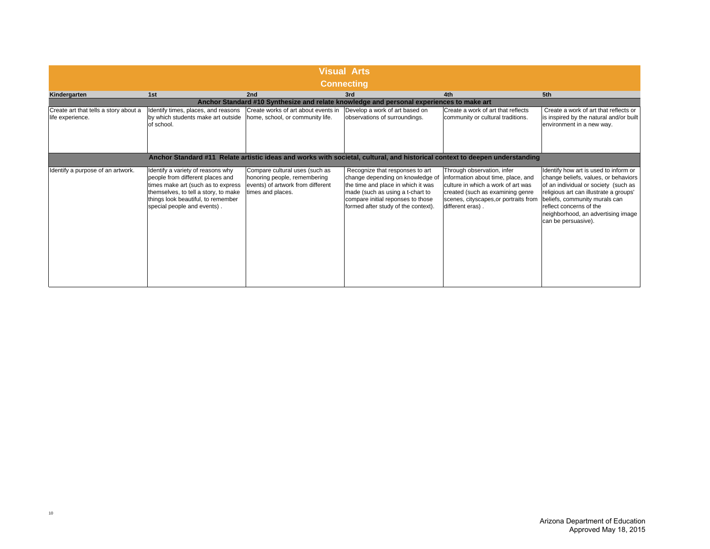| <b>Visual Arts</b><br><b>Connecting</b>                   |                                                                                                                                                                                                                          |                                                                                                                          |                                                                                                                                                                                                                           |                                                                                                                                                                                                         |                                                                                                                                                                                                                                                                                          |
|-----------------------------------------------------------|--------------------------------------------------------------------------------------------------------------------------------------------------------------------------------------------------------------------------|--------------------------------------------------------------------------------------------------------------------------|---------------------------------------------------------------------------------------------------------------------------------------------------------------------------------------------------------------------------|---------------------------------------------------------------------------------------------------------------------------------------------------------------------------------------------------------|------------------------------------------------------------------------------------------------------------------------------------------------------------------------------------------------------------------------------------------------------------------------------------------|
| Kindergarten                                              | 1st                                                                                                                                                                                                                      | 2nd                                                                                                                      | 3rd                                                                                                                                                                                                                       | 4th                                                                                                                                                                                                     | 5th                                                                                                                                                                                                                                                                                      |
|                                                           |                                                                                                                                                                                                                          |                                                                                                                          | Anchor Standard #10 Synthesize and relate knowledge and personal experiences to make art                                                                                                                                  |                                                                                                                                                                                                         |                                                                                                                                                                                                                                                                                          |
| Create art that tells a story about a<br>life experience. | Identify times, places, and reasons<br>by which students make art outside<br>of school.                                                                                                                                  | Create works of art about events in<br>home, school, or community life.                                                  | Develop a work of art based on<br>observations of surroundings.                                                                                                                                                           | Create a work of art that reflects<br>community or cultural traditions.                                                                                                                                 | Create a work of art that reflects or<br>is inspired by the natural and/or built<br>environment in a new way.                                                                                                                                                                            |
|                                                           |                                                                                                                                                                                                                          |                                                                                                                          | Anchor Standard #11 Relate artistic ideas and works with societal, cultural, and historical context to deepen understanding                                                                                               |                                                                                                                                                                                                         |                                                                                                                                                                                                                                                                                          |
| Identify a purpose of an artwork.                         | Identify a variety of reasons why<br>people from different places and<br>times make art (such as to express<br>themselves, to tell a story, to make<br>things look beautiful, to remember<br>special people and events). | Compare cultural uses (such as<br>honoring people, remembering<br>events) of artwork from different<br>times and places. | Recognize that responses to art<br>change depending on knowledge of<br>the time and place in which it was<br>made (such as using a t-chart to<br>compare initial reponses to those<br>formed after study of the context). | Through observation, infer<br>information about time, place, and<br>culture in which a work of art was<br>created (such as examining genre<br>scenes, cityscapes, or portraits from<br>different eras). | Identify how art is used to inform or<br>change beliefs, values, or behaviors<br>of an individual or society (such as<br>religious art can illustrate a groups'<br>beliefs, community murals can<br>reflect concerns of the<br>neighborhood, an advertising image<br>can be persuasive). |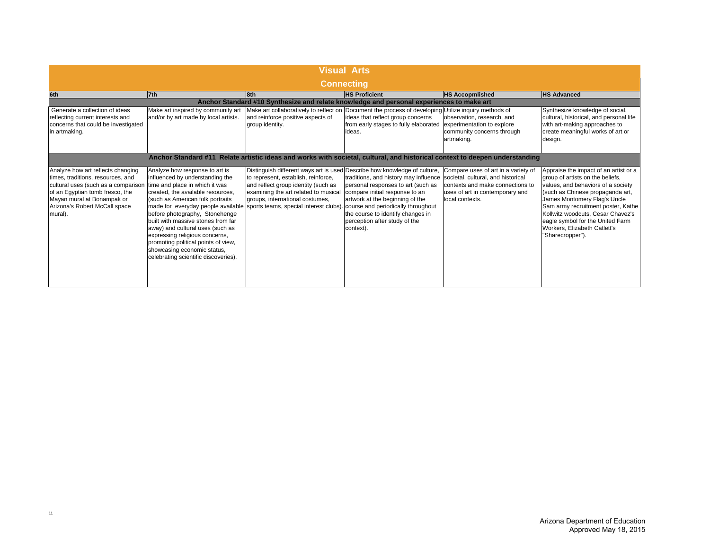|                                                                                                                                                                                                                            |                                                                                                                                                                                                                                                                                                                                                                                                                                                                                                                       |                                                                                                                                                                                                                                    | <b>Visual Arts</b>                                                                                                                                                                                                                                                                                           |                                                                                                                               |                                                                                                                                                                                                                                                                                                                                                        |
|----------------------------------------------------------------------------------------------------------------------------------------------------------------------------------------------------------------------------|-----------------------------------------------------------------------------------------------------------------------------------------------------------------------------------------------------------------------------------------------------------------------------------------------------------------------------------------------------------------------------------------------------------------------------------------------------------------------------------------------------------------------|------------------------------------------------------------------------------------------------------------------------------------------------------------------------------------------------------------------------------------|--------------------------------------------------------------------------------------------------------------------------------------------------------------------------------------------------------------------------------------------------------------------------------------------------------------|-------------------------------------------------------------------------------------------------------------------------------|--------------------------------------------------------------------------------------------------------------------------------------------------------------------------------------------------------------------------------------------------------------------------------------------------------------------------------------------------------|
|                                                                                                                                                                                                                            |                                                                                                                                                                                                                                                                                                                                                                                                                                                                                                                       |                                                                                                                                                                                                                                    | <b>Connecting</b>                                                                                                                                                                                                                                                                                            |                                                                                                                               |                                                                                                                                                                                                                                                                                                                                                        |
| 6th                                                                                                                                                                                                                        | 7th                                                                                                                                                                                                                                                                                                                                                                                                                                                                                                                   | 8th                                                                                                                                                                                                                                | <b>HS Proficient</b>                                                                                                                                                                                                                                                                                         | <b>HS Accopmlished</b>                                                                                                        | <b>HS Advanced</b>                                                                                                                                                                                                                                                                                                                                     |
|                                                                                                                                                                                                                            |                                                                                                                                                                                                                                                                                                                                                                                                                                                                                                                       |                                                                                                                                                                                                                                    | Anchor Standard #10 Synthesize and relate knowledge and personal experiences to make art                                                                                                                                                                                                                     |                                                                                                                               |                                                                                                                                                                                                                                                                                                                                                        |
| Generate a collection of ideas<br>reflecting current interests and<br>concerns that could be investigated<br>in artmaking.                                                                                                 | Make art inspired by community art<br>and/or by art made by local artists.                                                                                                                                                                                                                                                                                                                                                                                                                                            | Make art collaboratively to reflect on<br>and reinforce positive aspects of<br>group identity.                                                                                                                                     | Document the process of developing Utilize inquiry methods of<br>ideas that reflect group concerns<br>from early stages to fully elaborated<br>ideas.                                                                                                                                                        | observation, research, and<br>experimentation to explore<br>community concerns through<br>artmaking.                          | Synthesize knowledge of social,<br>cultural, historical, and personal life<br>with art-making approaches to<br>create meaningful works of art or<br>design.                                                                                                                                                                                            |
|                                                                                                                                                                                                                            |                                                                                                                                                                                                                                                                                                                                                                                                                                                                                                                       |                                                                                                                                                                                                                                    | Anchor Standard #11 Relate artistic ideas and works with societal, cultural, and historical context to deepen understanding                                                                                                                                                                                  |                                                                                                                               |                                                                                                                                                                                                                                                                                                                                                        |
| Analyze how art reflects changing<br>times, traditions, resources, and<br>cultural uses (such as a comparison<br>of an Egyptian tomb fresco, the<br>Mayan mural at Bonampak or<br>Arizona's Robert McCall space<br>mural). | Analyze how response to art is<br>influenced by understanding the<br>time and place in which it was<br>created, the available resources,<br>(such as American folk portraits<br>made for everyday people available sports teams, special interest clubs).<br>before photography, Stonehenge<br>built with massive stones from far<br>away) and cultural uses (such as<br>expressing religious concerns,<br>promoting political points of view,<br>showcasing economic status,<br>celebrating scientific discoveries). | Distinguish different ways art is used Describe how knowledge of culture,<br>to represent, establish, reinforce,<br>and reflect group identity (such as<br>examining the art related to musical<br>groups, international costumes, | traditions, and history may influence societal, cultural, and historical<br>personal responses to art (such as<br>compare initial response to an<br>artwork at the beginning of the<br>course and periodically throughout<br>the course to identify changes in<br>perception after study of the<br>context). | Compare uses of art in a variety of<br>contexts and make connections to<br>uses of art in contemporary and<br>local contexts. | Appraise the impact of an artist or a<br>group of artists on the beliefs,<br>values, and behaviors of a society<br>(such as Chinese propaganda art,<br>James Montomery Flag's Uncle<br>Sam army recruitment poster, Kathe<br>Kollwitz woodcuts, Cesar Chavez's<br>eagle symbol for the United Farm<br>Workers, Elizabeth Catlett's<br>"Sharecropper"). |

11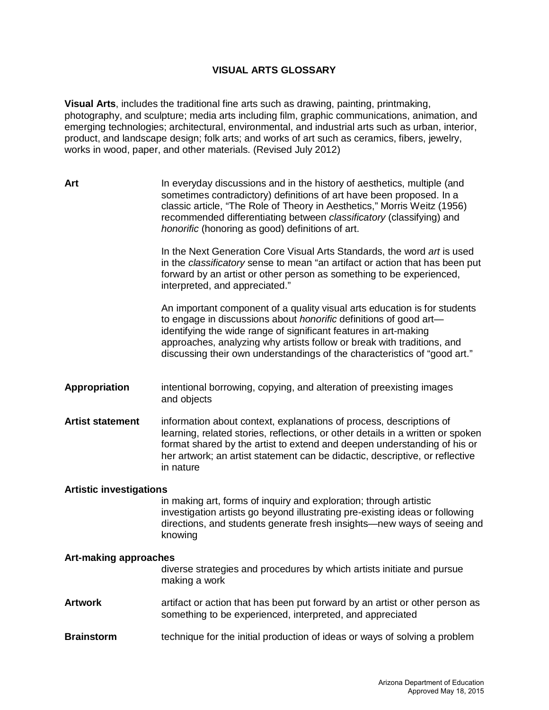# **VISUAL ARTS GLOSSARY**

**Visual Arts**, includes the traditional fine arts such as drawing, painting, printmaking, photography, and sculpture; media arts including film, graphic communications, animation, and emerging technologies; architectural, environmental, and industrial arts such as urban, interior, product, and landscape design; folk arts; and works of art such as ceramics, fibers, jewelry, works in wood, paper, and other materials. (Revised July 2012)

| Art                            | In everyday discussions and in the history of aesthetics, multiple (and<br>sometimes contradictory) definitions of art have been proposed. In a<br>classic article, "The Role of Theory in Aesthetics," Morris Weitz (1956)<br>recommended differentiating between classificatory (classifying) and<br>honorific (honoring as good) definitions of art.                          |  |  |  |  |
|--------------------------------|----------------------------------------------------------------------------------------------------------------------------------------------------------------------------------------------------------------------------------------------------------------------------------------------------------------------------------------------------------------------------------|--|--|--|--|
|                                | In the Next Generation Core Visual Arts Standards, the word art is used<br>in the classificatory sense to mean "an artifact or action that has been put<br>forward by an artist or other person as something to be experienced,<br>interpreted, and appreciated."                                                                                                                |  |  |  |  |
|                                | An important component of a quality visual arts education is for students<br>to engage in discussions about <i>honorific</i> definitions of good art-<br>identifying the wide range of significant features in art-making<br>approaches, analyzing why artists follow or break with traditions, and<br>discussing their own understandings of the characteristics of "good art." |  |  |  |  |
| <b>Appropriation</b>           | intentional borrowing, copying, and alteration of preexisting images<br>and objects                                                                                                                                                                                                                                                                                              |  |  |  |  |
| <b>Artist statement</b>        | information about context, explanations of process, descriptions of<br>learning, related stories, reflections, or other details in a written or spoken<br>format shared by the artist to extend and deepen understanding of his or<br>her artwork; an artist statement can be didactic, descriptive, or reflective<br>in nature                                                  |  |  |  |  |
| <b>Artistic investigations</b> | in making art, forms of inquiry and exploration; through artistic<br>investigation artists go beyond illustrating pre-existing ideas or following<br>directions, and students generate fresh insights-new ways of seeing and<br>knowing                                                                                                                                          |  |  |  |  |
| <b>Art-making approaches</b>   | diverse strategies and procedures by which artists initiate and pursue<br>making a work                                                                                                                                                                                                                                                                                          |  |  |  |  |
| <b>Artwork</b>                 | artifact or action that has been put forward by an artist or other person as<br>something to be experienced, interpreted, and appreciated                                                                                                                                                                                                                                        |  |  |  |  |
| <b>Brainstorm</b>              | technique for the initial production of ideas or ways of solving a problem                                                                                                                                                                                                                                                                                                       |  |  |  |  |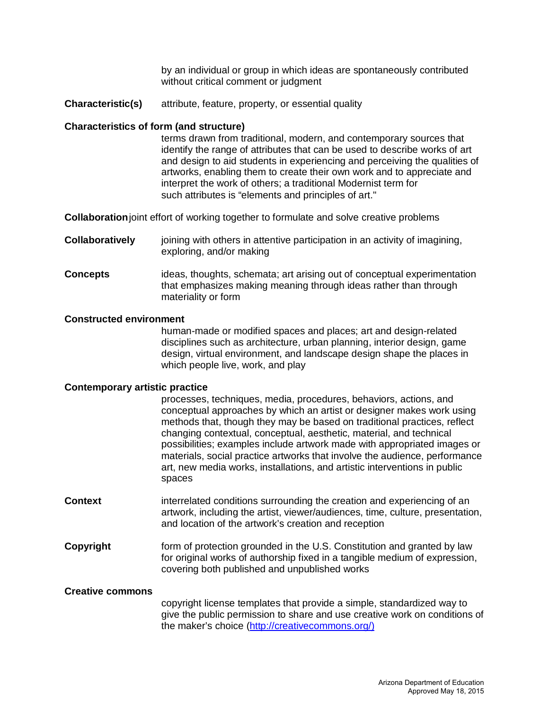by an individual or group in which ideas are spontaneously contributed without critical comment or judgment

**Characteristic(s)** attribute, feature, property, or essential quality

### **Characteristics of form (and structure)**

terms drawn from traditional, modern, and contemporary sources that identify the range of attributes that can be used to describe works of art and design to aid students in experiencing and perceiving the qualities of artworks, enabling them to create their own work and to appreciate and interpret the work of others; a traditional Modernist term for such attributes is "elements and principles of art."

**Collaboration**joint effort of working together to formulate and solve creative problems

- **Collaboratively** joining with others in attentive participation in an activity of imagining, exploring, and/or making
- **Concepts** ideas, thoughts, schemata; art arising out of conceptual experimentation that emphasizes making meaning through ideas rather than through materiality or form

#### **Constructed environment**

human-made or modified spaces and places; art and design-related disciplines such as architecture, urban planning, interior design, game design, virtual environment, and landscape design shape the places in which people live, work, and play

### **Contemporary artistic practice**

|                | processes, techniques, media, procedures, behaviors, actions, and<br>conceptual approaches by which an artist or designer makes work using<br>methods that, though they may be based on traditional practices, reflect<br>changing contextual, conceptual, aesthetic, material, and technical<br>possibilities; examples include artwork made with appropriated images or<br>materials, social practice artworks that involve the audience, performance<br>art, new media works, installations, and artistic interventions in public<br>spaces |
|----------------|------------------------------------------------------------------------------------------------------------------------------------------------------------------------------------------------------------------------------------------------------------------------------------------------------------------------------------------------------------------------------------------------------------------------------------------------------------------------------------------------------------------------------------------------|
| <b>Context</b> | interrelated conditions surrounding the creation and experiencing of an<br>artwork, including the artist, viewer/audiences, time, culture, presentation,<br>and location of the artwork's creation and reception                                                                                                                                                                                                                                                                                                                               |
| Copyright      | form of protection grounded in the U.S. Constitution and granted by law<br>for original works of authorship fixed in a tangible medium of expression,<br>covering both published and unpublished works                                                                                                                                                                                                                                                                                                                                         |

### **Creative commons**

copyright license templates that provide a simple, standardized way to give the public permission to share and use creative work on conditions of the maker's choice (http://creativecommons.org/)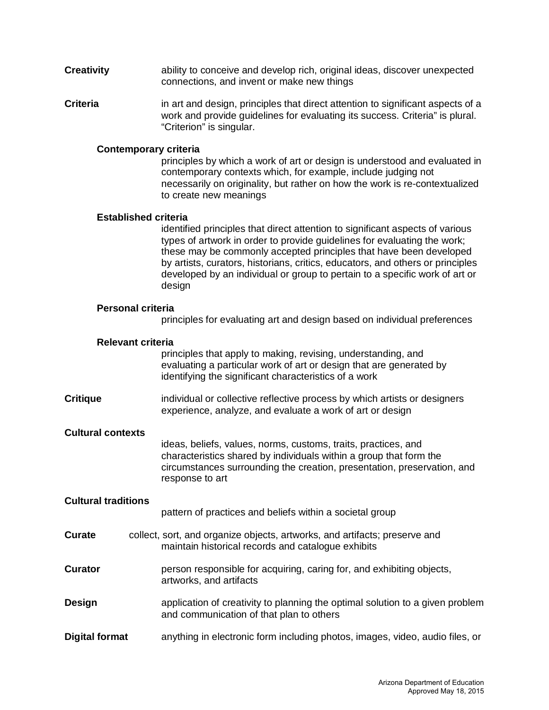- **Creativity** ability to conceive and develop rich, original ideas, discover unexpected connections, and invent or make new things
- **Criteria** in art and design, principles that direct attention to significant aspects of a work and provide guidelines for evaluating its success. Criteria" is plural. "Criterion" is singular.

### **Contemporary criteria**

principles by which a work of art or design is understood and evaluated in contemporary contexts which, for example, include judging not necessarily on originality, but rather on how the work is re-contextualized to create new meanings

## **Established criteria**

identified principles that direct attention to significant aspects of various types of artwork in order to provide guidelines for evaluating the work; these may be commonly accepted principles that have been developed by artists, curators, historians, critics, educators, and others or principles developed by an individual or group to pertain to a specific work of art or design

### **Personal criteria**

principles for evaluating art and design based on individual preferences

### **Relevant criteria**

principles that apply to making, revising, understanding, and evaluating a particular work of art or design that are generated by identifying the significant characteristics of a work

**Critique** individual or collective reflective process by which artists or designers experience, analyze, and evaluate a work of art or design

### **Cultural contexts**

ideas, beliefs, values, norms, customs, traits, practices, and characteristics shared by individuals within a group that form the circumstances surrounding the creation, presentation, preservation, and response to art

### **Cultural traditions**

pattern of practices and beliefs within a societal group

- **Curate** collect, sort, and organize objects, artworks, and artifacts; preserve and maintain historical records and catalogue exhibits
- **Curator person responsible for acquiring, caring for, and exhibiting objects,** artworks, and artifacts
- **Design** application of creativity to planning the optimal solution to a given problem and communication of that plan to others
- **Digital format** anything in electronic form including photos, images, video, audio files, or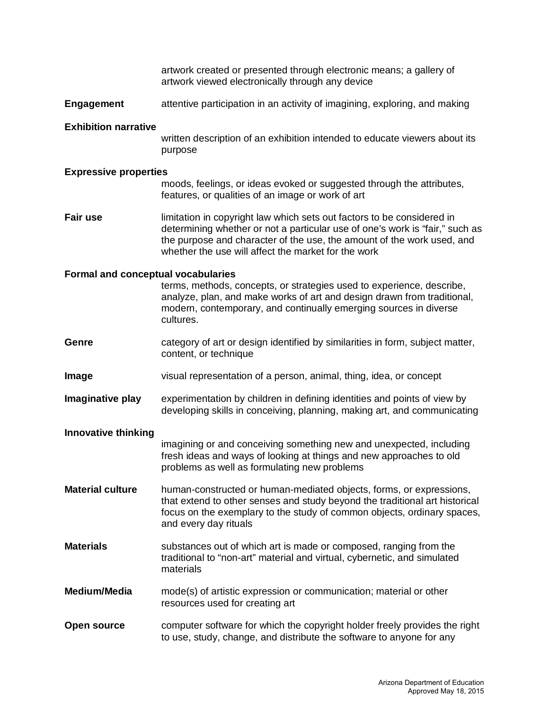artwork created or presented through electronic means; a gallery of artwork viewed electronically through any device

**Engagement** attentive participation in an activity of imagining, exploring, and making

#### **Exhibition narrative**

written description of an exhibition intended to educate viewers about its purpose

#### **Expressive properties**

moods, feelings, or ideas evoked or suggested through the attributes, features, or qualities of an image or work of art

**Fair use** limitation in copyright law which sets out factors to be considered in determining whether or not a particular use of one's work is "fair," such as the purpose and character of the use, the amount of the work used, and whether the use will affect the market for the work

#### **Formal and conceptual vocabularies**

terms, methods, concepts, or strategies used to experience, describe, analyze, plan, and make works of art and design drawn from traditional, modern, contemporary, and continually emerging sources in diverse cultures.

- **Genre** category of art or design identified by similarities in form, subject matter, content, or technique
- **Image** visual representation of a person, animal, thing, idea, or concept
- **Imaginative play** experimentation by children in defining identities and points of view by developing skills in conceiving, planning, making art, and communicating

### **Innovative thinking**

imagining or and conceiving something new and unexpected, including fresh ideas and ways of looking at things and new approaches to old problems as well as formulating new problems

**Material culture** human-constructed or human-mediated objects, forms, or expressions, that extend to other senses and study beyond the traditional art historical focus on the exemplary to the study of common objects, ordinary spaces, and every day rituals

- **Materials** substances out of which art is made or composed, ranging from the traditional to "non-art" material and virtual, cybernetic, and simulated materials
- **Medium/Media** mode(s) of artistic expression or communication; material or other resources used for creating art
- **Open source** computer software for which the copyright holder freely provides the right to use, study, change, and distribute the software to anyone for any